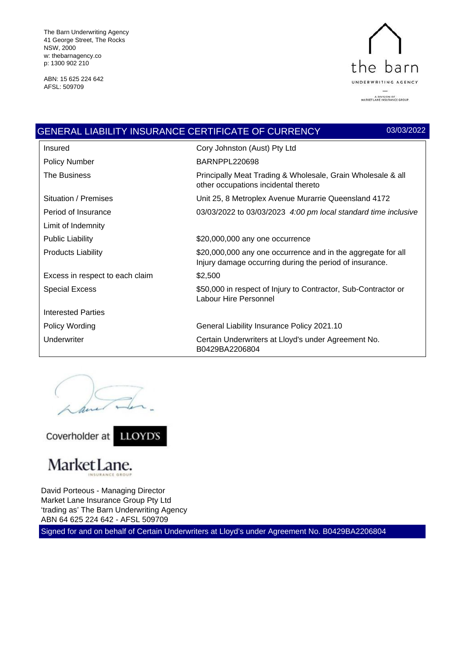The Barn Underwriting Agency 41 George Street, The Rocks NSW, 2000 w: thebarnagency.co p: 1300 902 210

ABN: 15 625 224 642 AFSL: 509709



|                                 | <b>GENERAL LIABILITY INSURANCE CERTIFICATE OF CURRENCY</b><br>03/03/2022                                                |
|---------------------------------|-------------------------------------------------------------------------------------------------------------------------|
| Insured                         | Cory Johnston (Aust) Pty Ltd                                                                                            |
| <b>Policy Number</b>            | BARNPPL220698                                                                                                           |
| The Business                    | Principally Meat Trading & Wholesale, Grain Wholesale & all<br>other occupations incidental thereto                     |
| Situation / Premises            | Unit 25, 8 Metroplex Avenue Murarrie Queensland 4172                                                                    |
| Period of Insurance             | 03/03/2022 to 03/03/2023 4:00 pm local standard time inclusive                                                          |
| Limit of Indemnity              |                                                                                                                         |
| <b>Public Liability</b>         | \$20,000,000 any one occurrence                                                                                         |
| <b>Products Liability</b>       | \$20,000,000 any one occurrence and in the aggregate for all<br>Injury damage occurring during the period of insurance. |
| Excess in respect to each claim | \$2,500                                                                                                                 |
| <b>Special Excess</b>           | \$50,000 in respect of Injury to Contractor, Sub-Contractor or<br>Labour Hire Personnel                                 |
| <b>Interested Parties</b>       |                                                                                                                         |
| Policy Wording                  | General Liability Insurance Policy 2021.10                                                                              |
| Underwriter                     | Certain Underwriters at Lloyd's under Agreement No.<br>B0429BA2206804                                                   |

an

Coverholder at LLOYD'S



# MarketLane.

David Porteous - Managing Director Market Lane Insurance Group Pty Ltd 'trading as' The Barn Underwriting Agency ABN 64 625 224 642 - AFSL 509709

Signed for and on behalf of Certain Underwriters at Lloyd's under Agreement No. B0429BA2206804